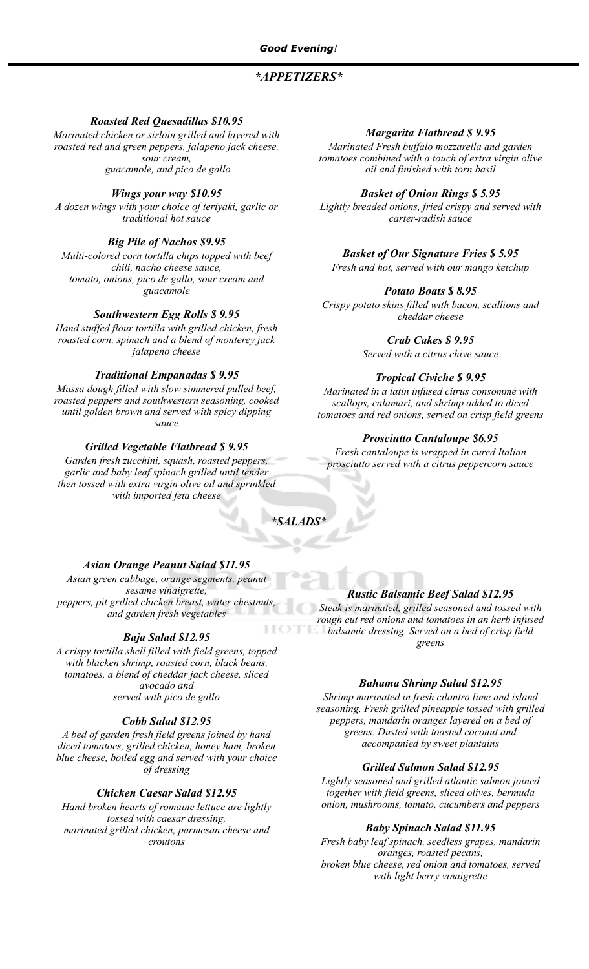# *\*APPETIZERS\**

## *Roasted Red Quesadillas \$10.95*

*Marinated chicken or sirloin grilled and layered with roasted red and green peppers, jalapeno jack cheese, sour cream, guacamole, and pico de gallo*

## *Wings your way \$10.95*

*A dozen wings with your choice of teriyaki, garlic or traditional hot sauce*

## *Big Pile of Nachos \$9.95*

*Multi-colored corn tortilla chips topped with beef chili, nacho cheese sauce, tomato, onions, pico de gallo, sour cream and guacamole*

## *Southwestern Egg Rolls \$ 9.95*

*Hand stuffed flour tortilla with grilled chicken, fresh roasted corn, spinach and a blend of monterey jack jalapeno cheese*

## *Traditional Empanadas \$ 9.95*

*Massa dough filled with slow simmered pulled beef, roasted peppers and southwestern seasoning, cooked until golden brown and served with spicy dipping sauce*

## *Grilled Vegetable Flatbread \$ 9.95*

*Garden fresh zucchini, squash, roasted peppers, garlic and baby leaf spinach grilled until tender then tossed with extra virgin olive oil and sprinkled with imported feta cheese*

### *Margarita Flatbread \$ 9.95*

*Marinated Fresh buffalo mozzarella and garden tomatoes combined with a touch of extra virgin olive oil and finished with torn basil*

### *Basket of Onion Rings \$ 5.95*

*Lightly breaded onions, fried crispy and served with carter-radish sauce*

# *Basket of Our Signature Fries \$ 5.95*

*Fresh and hot, served with our mango ketchup*

## *Potato Boats \$ 8.95*

*Crispy potato skins filled with bacon, scallions and cheddar cheese*

## *Crab Cakes \$ 9.95*

*Served with a citrus chive sauce*

### *Tropical Civiche \$ 9.95*

*Marinated in a latin infused citrus consommé with scallops, calamari, and shrimp added to diced tomatoes and red onions, served on crisp field greens*

### *Prosciutto Cantaloupe \$6.95*

*Fresh cantaloupe is wrapped in cured Italian prosciutto served with a citrus peppercorn sauce*

# *\*SALADS\**

### *Asian Orange Peanut Salad \$11.95*

*Asian green cabbage, orange segments, peanut sesame vinaigrette, peppers, pit grilled chicken breast, water chestnuts, and garden fresh vegetables*

## *Baja Salad \$12.95*

*A crispy tortilla shell filled with field greens, topped with blacken shrimp, roasted corn, black beans, tomatoes, a blend of cheddar jack cheese, sliced avocado and served with pico de gallo*

### *Cobb Salad \$12.95*

*A bed of garden fresh field greens joined by hand diced tomatoes, grilled chicken, honey ham, broken blue cheese, boiled egg and served with your choice of dressing*

### *Chicken Caesar Salad \$12.95*

*Hand broken hearts of romaine lettuce are lightly tossed with caesar dressing, marinated grilled chicken, parmesan cheese and croutons*

## *Rustic Balsamic Beef Salad \$12.95*

*Steak is marinated, grilled seasoned and tossed with rough cut red onions and tomatoes in an herb infused balsamic dressing. Served on a bed of crisp field greens*

### *Bahama Shrimp Salad \$12.95*

*Shrimp marinated in fresh cilantro lime and island seasoning. Fresh grilled pineapple tossed with grilled peppers, mandarin oranges layered on a bed of greens. Dusted with toasted coconut and accompanied by sweet plantains*

### *Grilled Salmon Salad \$12.95*

*Lightly seasoned and grilled atlantic salmon joined together with field greens, sliced olives, bermuda onion, mushrooms, tomato, cucumbers and peppers*

### *Baby Spinach Salad \$11.95*

*Fresh baby leaf spinach, seedless grapes, mandarin oranges, roasted pecans, broken blue cheese, red onion and tomatoes, served with light berry vinaigrette*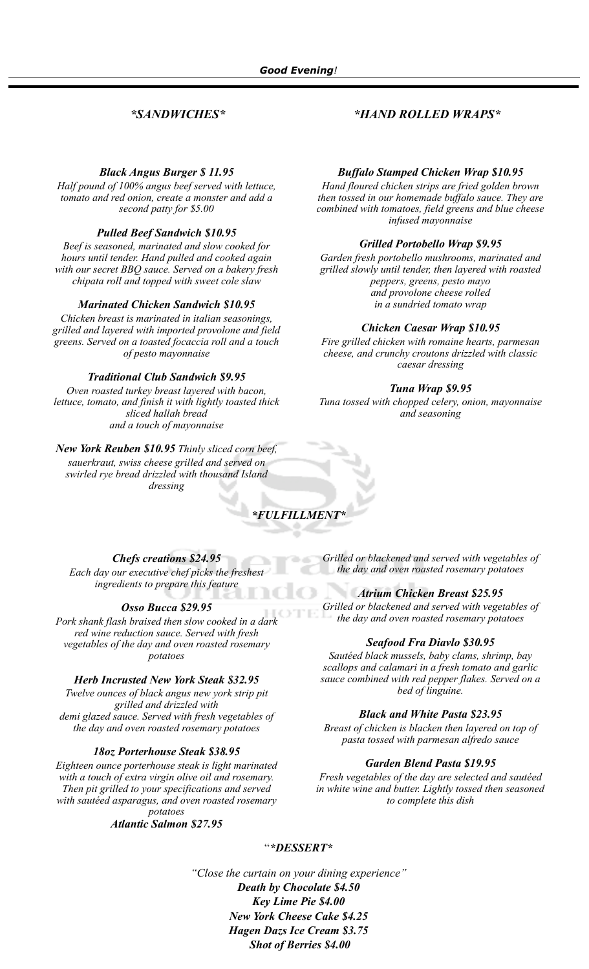## *Black Angus Burger \$ 11.95*

*Half pound of 100% angus beef served with lettuce, tomato and red onion, create a monster and add a second patty for \$5.00*

## *Pulled Beef Sandwich \$10.95*

*Beef is seasoned, marinated and slow cooked for hours until tender. Hand pulled and cooked again with our secret BBQ sauce. Served on a bakery fresh chipata roll and topped with sweet cole slaw*

## *Marinated Chicken Sandwich \$10.95*

*Chicken breast is marinated in italian seasonings, grilled and layered with imported provolone and field greens. Served on a toasted focaccia roll and a touch of pesto mayonnaise*

### *Traditional Club Sandwich \$9.95*

*Oven roasted turkey breast layered with bacon, lettuce, tomato, and finish it with lightly toasted thick sliced hallah bread and a touch of mayonnaise*

*New York Reuben \$10.95 Thinly sliced corn beef, sauerkraut, swiss cheese grilled and served on swirled rye bread drizzled with thousand Island dressing*

# *\*FULFILLMENT\**

### *Chefs creations \$24.95*

*Each day our executive chef picks the freshest ingredients to prepare this feature*

### *Osso Bucca \$29.95*

*Pork shank flash braised then slow cooked in a dark red wine reduction sauce. Served with fresh vegetables of the day and oven roasted rosemary potatoes*

### *Herb Incrusted New York Steak \$32.95*

*Twelve ounces of black angus new york strip pit grilled and drizzled with demi glazed sauce. Served with fresh vegetables of the day and oven roasted rosemary potatoes*

### *18oz Porterhouse Steak \$38.95*

*Eighteen ounce porterhouse steak is light marinated with a touch of extra virgin olive oil and rosemary. Then pit grilled to your specifications and served with sautéed asparagus, and oven roasted rosemary potatoes*

*Atlantic Salmon \$27.95*

*Grilled or blackened and served with vegetables of the day and oven roasted rosemary potatoes*

### *Atrium Chicken Breast \$25.95*

*Grilled or blackened and served with vegetables of the day and oven roasted rosemary potatoes*

### *Seafood Fra Diavlo \$30.95*

*Sautéed black mussels, baby clams, shrimp, bay scallops and calamari in a fresh tomato and garlic sauce combined with red pepper flakes. Served on a bed of linguine.*

### *Black and White Pasta \$23.95*

*Breast of chicken is blacken then layered on top of pasta tossed with parmesan alfredo sauce*

## *Garden Blend Pasta \$19.95*

*Fresh vegetables of the day are selected and sautéed in white wine and butter. Lightly tossed then seasoned to complete this dish*

### "*\*DESSERT\**

*"Close the curtain on your dining experience" Death by Chocolate \$4.50 Key Lime Pie \$4.00 New York Cheese Cake \$4.25 Hagen Dazs Ice Cream \$3.75 Shot of Berries \$4.00*

# *\*SANDWICHES\* \*HAND ROLLED WRAPS\**

*Hand floured chicken strips are fried golden brown* 

*Buffalo Stamped Chicken Wrap \$10.95*

*then tossed in our homemade buffalo sauce. They are combined with tomatoes, field greens and blue cheese infused mayonnaise*

# *Grilled Portobello Wrap \$9.95*

*Garden fresh portobello mushrooms, marinated and grilled slowly until tender, then layered with roasted peppers, greens, pesto mayo and provolone cheese rolled in a sundried tomato wrap*

# *Chicken Caesar Wrap \$10.95*

*Fire grilled chicken with romaine hearts, parmesan cheese, and crunchy croutons drizzled with classic caesar dressing*

# *Tuna Wrap \$9.95*

*Tuna tossed with chopped celery, onion, mayonnaise and seasoning*